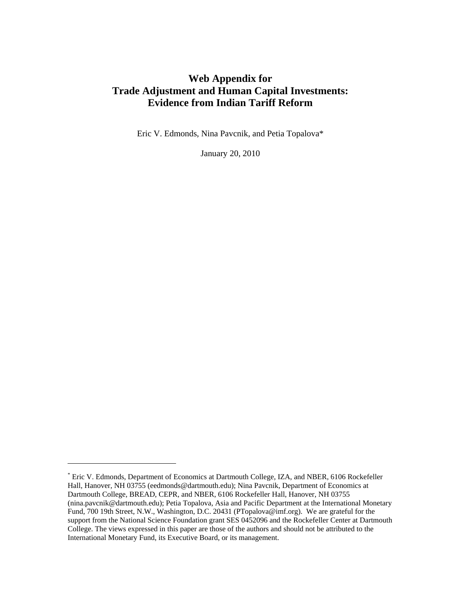# Web Appendix for **Trade Adjustment and Human Capital Investments: Evidence from Indian Tariff Reform**

Eric V. Edmonds, Nina Pavcnik, and Petia Topalova\*

January 20, 2010

-

<sup>\*</sup> Eric V. Edmonds, Department of Economics at Dartmouth College, IZA, and NBER, 6106 Rockefeller Hall, Hanover, NH 03755 (eedmonds@dartmouth.edu); Nina Pavcnik, Department of Economics at Dartmouth College, BREAD, CEPR, and NBER, 6106 Rockefeller Hall, Hanover, NH 03755 (nina.pavcnik@dartmouth.edu); Petia Topalova, Asia and Pacific Department at the International Monetary Fund, 700 19th Street, N.W., Washington, D.C. 20431 (PTopalova@imf.org). We are grateful for the support from the National Science Foundation grant SES 0452096 and the Rockefeller Center at Dartmouth College. The views expressed in this paper are those of the authors and should not be attributed to the International Monetary Fund, its Executive Board, or its management.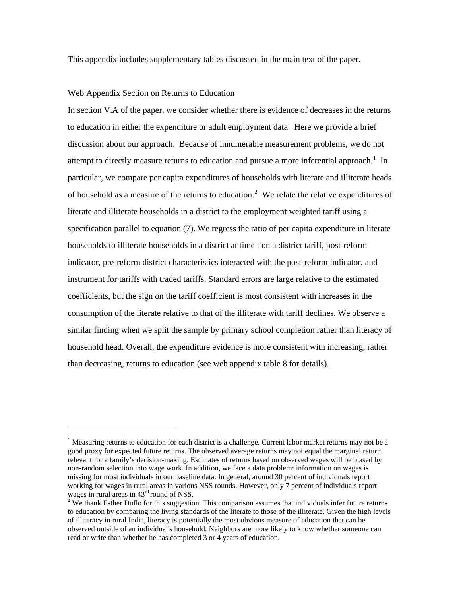This appendix includes supplementary tables discussed in the main text of the paper.

#### Web Appendix Section on Returns to Education

-

In section V.A of the paper, we consider whether there is evidence of decreases in the returns to education in either the expenditure or adult employment data. Here we provide a brief discussion about our approach. Because of innumerable measurement problems, we do not attempt to directly measure returns to education and pursue a more inferential approach.<sup>1</sup> In particular, we compare per capita expenditures of households with literate and illiterate heads of household as a measure of the returns to education.<sup>2</sup> We relate the relative expenditures of literate and illiterate households in a district to the employment weighted tariff using a specification parallel to equation (7). We regress the ratio of per capita expenditure in literate households to illiterate households in a district at time t on a district tariff, post-reform indicator, pre-reform district characteristics interacted with the post-reform indicator, and instrument for tariffs with traded tariffs. Standard errors are large relative to the estimated coefficients, but the sign on the tariff coefficient is most consistent with increases in the consumption of the literate relative to that of the illiterate with tariff declines. We observe a similar finding when we split the sample by primary school completion rather than literacy of household head. Overall, the expenditure evidence is more consistent with increasing, rather than decreasing, returns to education (see web appendix table 8 for details).

<sup>&</sup>lt;sup>1</sup> Measuring returns to education for each district is a challenge. Current labor market returns may not be a good proxy for expected future returns. The observed average returns may not equal the marginal return relevant for a family's decision-making. Estimates of returns based on observed wages will be biased by non-random selection into wage work. In addition, we face a data problem: information on wages is missing for most individuals in our baseline data. In general, around 30 percent of individuals report working for wages in rural areas in various NSS rounds. However, only 7 percent of individuals report wages in rural areas in  $43<sup>rd</sup>$  round of NSS.

 $2$  We thank Esther Duflo for this suggestion. This comparison assumes that individuals infer future returns to education by comparing the living standards of the literate to those of the illiterate. Given the high levels of illiteracy in rural India, literacy is potentially the most obvious measure of education that can be observed outside of an individual's household. Neighbors are more likely to know whether someone can read or write than whether he has completed 3 or 4 years of education.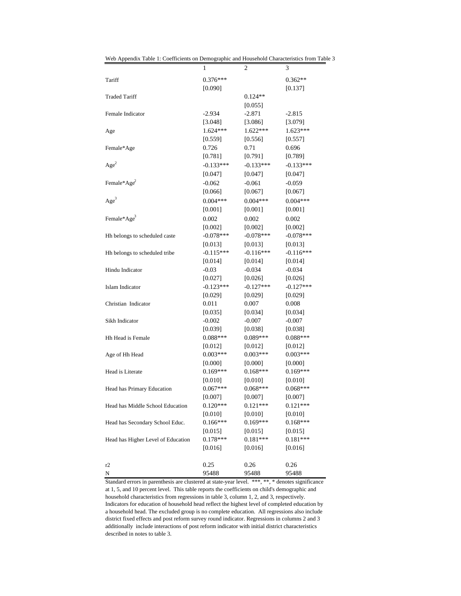|                                    | 1           | 2           | 3           |
|------------------------------------|-------------|-------------|-------------|
| Tariff                             | $0.376***$  |             | $0.362**$   |
|                                    | [0.090]     |             | [0.137]     |
| <b>Traded Tariff</b>               |             | $0.124**$   |             |
|                                    |             | [0.055]     |             |
| Female Indicator                   | $-2.934$    | $-2.871$    | $-2.815$    |
|                                    | [3.048]     | [3.086]     | [3.079]     |
| Age                                | $1.624***$  | $1.622***$  | $1.623***$  |
|                                    | [0.559]     | [0.556]     | [0.557]     |
| Female*Age                         | 0.726       | 0.71        | 0.696       |
|                                    | [0.781]     | [0.791]     | [0.789]     |
| Age <sup>2</sup>                   | $-0.133***$ | $-0.133***$ | $-0.133***$ |
|                                    | [0.047]     | [0.047]     | [0.047]     |
| Female* $Age^2$                    | $-0.062$    | $-0.061$    | $-0.059$    |
|                                    | [0.066]     | [0.067]     | [0.067]     |
| Age <sup>3</sup>                   | $0.004***$  | $0.004***$  | $0.004***$  |
|                                    | [0.001]     | [0.001]     | [0.001]     |
| Female*Age <sup>3</sup>            | 0.002       | 0.002       | 0.002       |
|                                    | [0.002]     | [0.002]     | [0.002]     |
| Hh belongs to scheduled caste      | $-0.078***$ | $-0.078***$ | $-0.078***$ |
|                                    | [0.013]     | [0.013]     | [0.013]     |
| Hh belongs to scheduled tribe      | $-0.115***$ | $-0.116***$ | $-0.116***$ |
|                                    | [0.014]     | [0.014]     | [0.014]     |
| Hindu Indicator                    | $-0.03$     | $-0.034$    | $-0.034$    |
|                                    | [0.027]     | [0.026]     | [0.026]     |
| Islam Indicator                    | $-0.123***$ | $-0.127***$ | $-0.127***$ |
|                                    | [0.029]     | [0.029]     | [0.029]     |
| Christian Indicator                | 0.011       | 0.007       | 0.008       |
|                                    | [0.035]     | [0.034]     | [0.034]     |
| Sikh Indicator                     | $-0.002$    | $-0.007$    | $-0.007$    |
|                                    | [0.039]     | [0.038]     | [0.038]     |
| Hh Head is Female                  | $0.088***$  | $0.089***$  | $0.088***$  |
|                                    | [0.012]     | [0.012]     | [0.012]     |
| Age of Hh Head                     | $0.003***$  | $0.003***$  | $0.003***$  |
|                                    | [0.000]     | [0.000]     | [0.000]     |
| Head is Literate                   | $0.169***$  | $0.168***$  | $0.169***$  |
|                                    | [0.010]     | [0.010]     | [0.010]     |
| Head has Primary Education         | $0.067***$  | $0.068***$  | $0.068***$  |
|                                    | [0.007]     | [0.007]     | [0.007]     |
| Head has Middle School Education   | $0.120***$  | $0.121***$  | $0.121***$  |
|                                    | [0.010]     | [0.010]     | [0.010]     |
| Head has Secondary School Educ.    | $0.166***$  | $0.169***$  | $0.168***$  |
|                                    | [0.015]     | [0.015]     | [0.015]     |
| Head has Higher Level of Education | $0.178***$  | $0.181***$  | $0.181***$  |
|                                    | [0.016]     | [0.016]     | [0.016]     |
|                                    |             |             |             |
| r2                                 | 0.25        | 0.26        | 0.26        |
| N                                  | 95488       | 95488       | 95488       |

Web Appendix Table 1: Coefficients on Demographic and Household Characteristics from Table 3

Standard errors in parenthesis are clustered at state-year level. \*\*\*, \*\*, \* denotes significance at 1, 5, and 10 percent level. This table reports the coefficients on child's demographic and household characteristics from regressions in table 3, column 1, 2, and 3, respectively. Indicators for education of household head reflect the highest level of completed education by a household head. The excluded group is no complete education. All regressions also include district fixed effects and post reform survey round indicator. Regressions in columns 2 and 3 additionally include interactions of post reform indicator with initial district characteristics described in notes to table 3.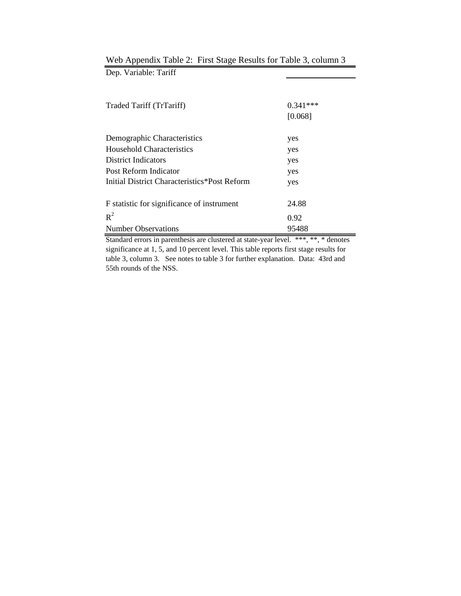| Traded Tariff (TrTariff)                     | $0.341***$ |
|----------------------------------------------|------------|
|                                              | [0.068]    |
| Demographic Characteristics                  | yes        |
| Household Characteristics                    | yes        |
| <b>District Indicators</b>                   | yes        |
| Post Reform Indicator                        | yes        |
| Initial District Characteristics*Post Reform | yes        |
| F statistic for significance of instrument   | 24.88      |
| $R^2$                                        | 0.92       |
| <b>Number Observations</b>                   | 95488      |

## Web Appendix Table 2: First Stage Results for Table 3, column 3 Dep. Variable: Tariff

Standard errors in parenthesis are clustered at state-year level. \*\*\*, \*\*, \* denotes significance at 1, 5, and 10 percent level. This table reports first stage results for table 3, column 3. See notes to table 3 for further explanation. Data: 43rd and 55th rounds of the NSS.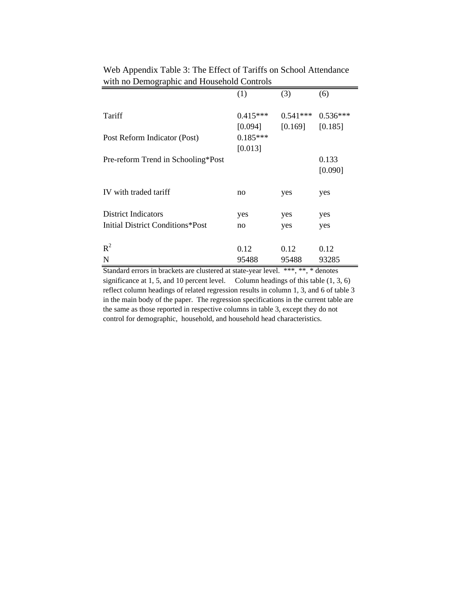| $m$ and $n \sim \text{m}$          |            |            |            |
|------------------------------------|------------|------------|------------|
|                                    | (1)        | (3)        | (6)        |
| Tariff                             | $0.415***$ | $0.541***$ | $0.536***$ |
|                                    | [0.094]    | [0.169]    | [0.185]    |
| Post Reform Indicator (Post)       | $0.185***$ |            |            |
|                                    | [0.013]    |            |            |
| Pre-reform Trend in Schooling*Post |            |            | 0.133      |
|                                    |            |            | [0.090]    |
|                                    |            |            |            |
| IV with traded tariff              | no         | yes        | yes        |
|                                    |            |            |            |
| <b>District Indicators</b>         | yes        | yes        | yes        |
| Initial District Conditions*Post   | no         | yes        | yes        |
|                                    |            |            |            |
| $R^2$                              | 0.12       | 0.12       | 0.12       |
| ${\bf N}$                          | 95488      | 95488      | 93285      |
| $\sim$<br>$\blacksquare$           |            |            |            |

Web Appendix Table 3: The Effect of Tariffs on School Attendance with no Demographic and Household Controls

Standard errors in brackets are clustered at state-year level. \*\*\*, \*\*, \* denotes significance at 1, 5, and 10 percent level. Column headings of this table  $(1, 3, 6)$ reflect column headings of related regression results in column 1, 3, and 6 of table 3 in the main body of the paper. The regression specifications in the current table are the same as those reported in respective columns in table 3, except they do not control for demographic, household, and household head characteristics.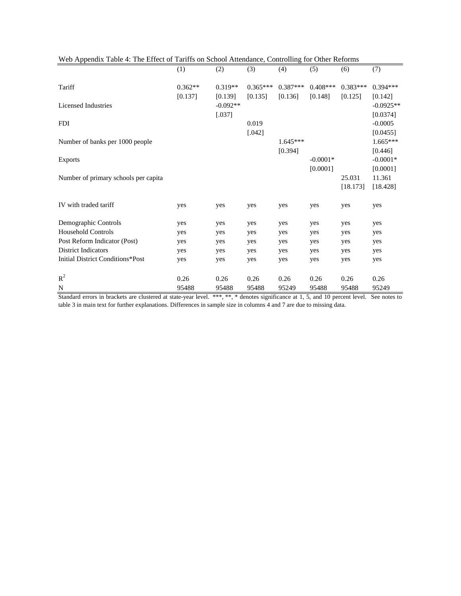|           |            |             |             |             |             | (7)         |
|-----------|------------|-------------|-------------|-------------|-------------|-------------|
|           |            |             |             |             |             |             |
| $0.362**$ | $0.319**$  | $0.365***$  | $0.387***$  | $0.408***$  | $0.383***$  | $0.394***$  |
| [0.137]   | [0.139]    | [0.135]     | [0.136]     | [0.148]     | [0.125]     | [0.142]     |
|           | $-0.092**$ |             |             |             |             | $-0.0925**$ |
|           | [.037]     |             |             |             |             | [0.0374]    |
|           |            | 0.019       |             |             |             | $-0.0005$   |
|           |            | [.042]      |             |             |             | [0.0455]    |
|           |            |             | $1.645***$  |             |             | $1.665***$  |
|           |            |             | [0.394]     |             |             | [0.446]     |
|           |            |             |             | $-0.0001*$  |             | $-0.0001*$  |
|           |            |             |             | [0.0001]    |             | [0.0001]    |
|           |            |             |             |             | 25.031      | 11.361      |
|           |            |             |             |             | [18.173]    | [18.428]    |
|           |            |             |             |             |             |             |
| yes       | yes        | yes         | yes         | yes         | yes         | yes         |
|           |            |             |             |             |             |             |
| yes       | yes        | yes         | yes         | yes         | yes         | yes         |
| yes       | yes        | yes         | yes         | yes         | yes         | yes         |
| yes       | yes        | yes         | yes         | yes         | yes         | yes         |
| yes       | yes        | yes         | yes         | yes         | yes         | yes         |
| yes       | yes        | yes         | yes         | yes         | yes         | yes         |
|           |            |             |             |             |             |             |
| 0.26      |            |             |             |             |             | 0.26        |
| 95488     | 95488      | 95488       | 95249       | 95488       | 95488       | 95249       |
|           | (1)        | (2)<br>0.26 | (3)<br>0.26 | (4)<br>0.26 | (5)<br>0.26 | (6)<br>0.26 |

|  |  |  | Web Appendix Table 4: The Effect of Tariffs on School Attendance, Controlling for Other Reforms |
|--|--|--|-------------------------------------------------------------------------------------------------|
|--|--|--|-------------------------------------------------------------------------------------------------|

Standard errors in brackets are clustered at state-year level. \*\*\*, \*\*, \* denotes significance at 1, 5, and 10 percent level. See notes to table 3 in main text for further explanations. Differences in sample size in columns 4 and 7 are due to missing data.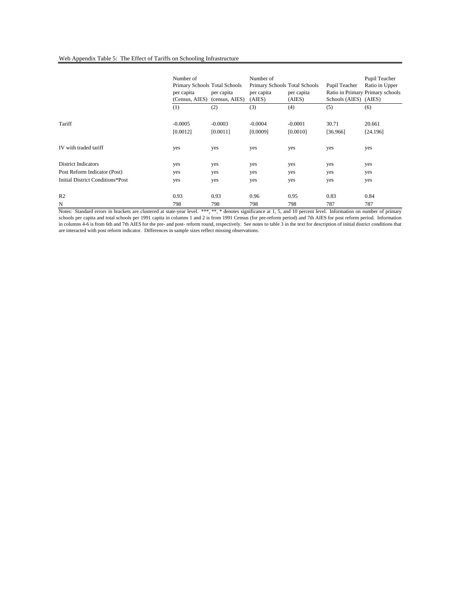#### Web Appendix Table 5: The Effect of Tariffs on Schooling Infrastructure

|                                         | Number of<br>Primary Schools Total Schools<br>per capita<br>(Census, AIES) | per capita<br>(census, AIES) | Number of<br>Primary Schools Total Schools<br>per capita<br>(AIES) | per capita<br>(AIES) | Pupil Teacher<br>Schools (AIES) (AIES) | Pupil Teacher<br>Ratio in Upper<br>Ratio in Primary Primary schools |
|-----------------------------------------|----------------------------------------------------------------------------|------------------------------|--------------------------------------------------------------------|----------------------|----------------------------------------|---------------------------------------------------------------------|
|                                         | (1)                                                                        | (2)                          | (3)                                                                | (4)                  | (5)                                    | (6)                                                                 |
| Tariff                                  | $-0.0005$                                                                  | $-0.0003$                    | $-0.0004$                                                          | $-0.0001$            | 30.71                                  | 20.661                                                              |
|                                         | [0.0012]                                                                   | [0.0011]                     | [0.0009]                                                           | [0.0010]             | [36.966]                               | [24.196]                                                            |
| IV with traded tariff                   | yes                                                                        | yes                          | yes                                                                | yes                  | yes                                    | yes                                                                 |
| <b>District Indicators</b>              | yes                                                                        | yes                          | yes                                                                | yes                  | yes                                    | yes                                                                 |
| Post Reform Indicator (Post)            | yes                                                                        | yes                          | yes                                                                | yes                  | yes                                    | yes                                                                 |
| <b>Initial District Conditions*Post</b> | yes                                                                        | yes                          | yes                                                                | yes                  | yes                                    | yes                                                                 |
| R <sub>2</sub>                          | 0.93                                                                       | 0.93                         | 0.96                                                               | 0.95                 | 0.83                                   | 0.84                                                                |
| N                                       | 798                                                                        | 798                          | 798                                                                | 798                  | 787                                    | 787                                                                 |

Notes: Standard errors in brackets are clustered at state-year level. \*\*\*,\*\* denotes significance at 1, 5, and 10 percent level. Information on number of primary schools per capita and total schools per 1991 capita in columns 1 and 2 is from 1991 Census (for pre-reform period) and 7th AIES for post reform period. Information in columns 4-6 is from 6th and 7th AIES for the pre- and post- reform round, respectively. See notes to table 3 in the text for description of initial district conditions that are interacted with post reform indicator. Differences in sample sizes reflect missing observations.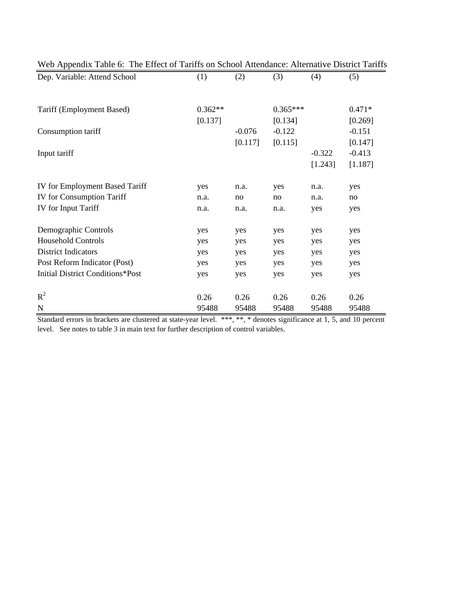| Web Appendix Table 6: The Effect of Tariffs on School Attendance: Alternative District Tariffs |           |          |            |          |          |
|------------------------------------------------------------------------------------------------|-----------|----------|------------|----------|----------|
| Dep. Variable: Attend School                                                                   | (1)       | (2)      | (3)        | (4)      | (5)      |
|                                                                                                |           |          |            |          |          |
| Tariff (Employment Based)                                                                      | $0.362**$ |          | $0.365***$ |          | $0.471*$ |
|                                                                                                | [0.137]   |          | [0.134]    |          | [0.269]  |
| Consumption tariff                                                                             |           | $-0.076$ | $-0.122$   |          | $-0.151$ |
|                                                                                                |           | [0.117]  | [0.115]    |          | [0.147]  |
| Input tariff                                                                                   |           |          |            | $-0.322$ | $-0.413$ |
|                                                                                                |           |          |            | [1.243]  | [1.187]  |
| IV for Employment Based Tariff                                                                 | yes       | n.a.     | yes        | n.a.     | yes      |
| <b>IV</b> for Consumption Tariff                                                               | n.a.      | no       | no         | n.a.     | no       |
| IV for Input Tariff                                                                            | n.a.      | n.a.     | n.a.       | yes      | yes      |
| Demographic Controls                                                                           | yes       | yes      | yes        | yes      | yes      |
| <b>Household Controls</b>                                                                      | yes       | yes      | yes        | yes      | yes      |
| <b>District Indicators</b>                                                                     | yes       | yes      | yes        | yes      | yes      |
| Post Reform Indicator (Post)                                                                   | yes       | yes      | yes        | yes      | yes      |
| <b>Initial District Conditions*Post</b>                                                        | yes       | yes      | yes        | yes      | yes      |
| $R^2$                                                                                          | 0.26      | 0.26     | 0.26       | 0.26     | 0.26     |
| ${\bf N}$                                                                                      | 95488     | 95488    | 95488      | 95488    | 95488    |

Standard errors in brackets are clustered at state-year level. \*\*\*, \*\*, \* denotes significance at 1, 5, and 10 percent level. See notes to table 3 in main text for further description of control variables.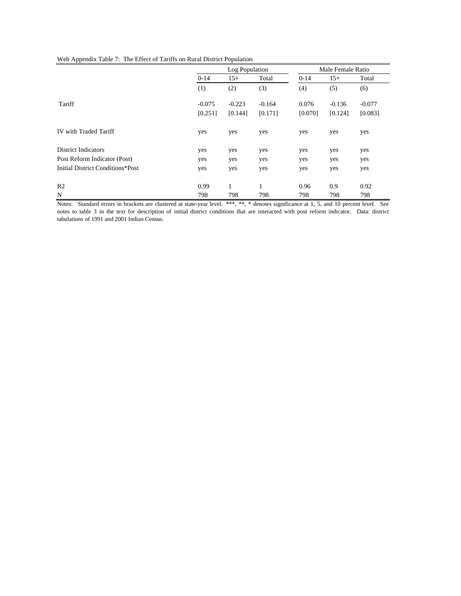|                                  | Log Population |          |          | Male Female Ratio |          |          |
|----------------------------------|----------------|----------|----------|-------------------|----------|----------|
|                                  | $0 - 14$       | $15+$    | Total    | $0 - 14$          | $15+$    | Total    |
|                                  | (1)            | (2)      | (3)      | (4)               | (5)      | (6)      |
| Tariff                           | $-0.075$       | $-0.223$ | $-0.164$ | 0.076             | $-0.136$ | $-0.077$ |
|                                  | [0.251]        | [0.144]  | [0.171]  | [0.070]           | [0.124]  | [0.083]  |
| IV with Traded Tariff            | yes            | yes      | yes      | yes               | yes      | yes      |
| District Indicators              | yes            | yes      | yes      | yes               | yes      | yes      |
| Post Reform Indicator (Post)     | yes            | yes      | yes      | yes               | yes      | yes      |
| Initial District Conditions*Post | yes            | yes      | yes      | yes               | yes      | yes      |
| R <sub>2</sub>                   | 0.99           | 1        | 1        | 0.96              | 0.9      | 0.92     |
| N                                | 798            | 798      | 798      | 798               | 798      | 798      |

Notes: Standard errors in brackets are clustered at state-year level. \*\*\*, \*\*, \* denotes significance at 1, 5, and 10 percent level. See notes to table 3 in the text for description of initial district conditions that are interacted with post reform indicator. Data: district tabulations of 1991 and 2001 Indian Census.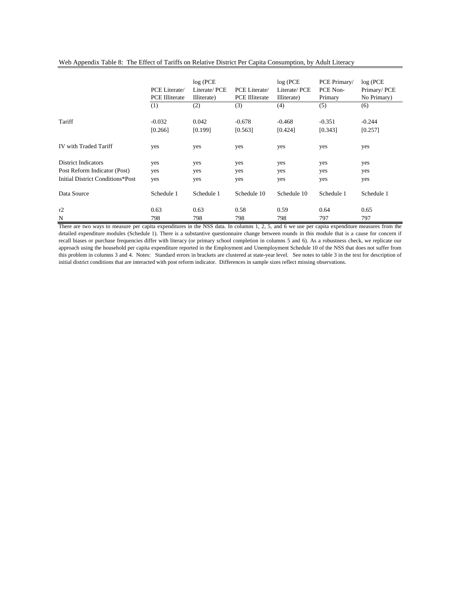|                                         | PCE Literate/<br><b>PCE</b> Illiterate | log(PCE)<br>Literate/PCE<br>Illiterate) | PCE Literate/<br><b>PCE Illiterate</b> | $log$ (PCE<br>Literate/PCE<br>Illiterate) | PCE Primary/<br>PCE Non-<br>Primary | log(PCE)<br>Primary/PCE<br>No Primary) |
|-----------------------------------------|----------------------------------------|-----------------------------------------|----------------------------------------|-------------------------------------------|-------------------------------------|----------------------------------------|
|                                         | (1)                                    | (2)                                     | (3)                                    | (4)                                       | (5)                                 | (6)                                    |
| Tariff                                  | $-0.032$<br>[0.266]                    | 0.042<br>[0.199]                        | $-0.678$<br>[0.563]                    | $-0.468$<br>[0.424]                       | $-0.351$<br>[0.343]                 | $-0.244$<br>[0.257]                    |
| <b>IV</b> with Traded Tariff            | yes                                    | yes                                     | yes                                    | yes                                       | yes                                 | yes                                    |
| <b>District Indicators</b>              | yes                                    | yes                                     | yes                                    | yes                                       | yes                                 | yes                                    |
| Post Reform Indicator (Post)            | yes                                    | yes                                     | yes                                    | yes                                       | yes                                 | yes                                    |
| <b>Initial District Conditions*Post</b> | yes                                    | yes                                     | yes                                    | yes                                       | yes                                 | yes                                    |
| Data Source                             | Schedule 1                             | Schedule 1                              | Schedule 10                            | Schedule 10                               | Schedule 1                          | Schedule 1                             |
| r2                                      | 0.63                                   | 0.63                                    | 0.58                                   | 0.59                                      | 0.64                                | 0.65                                   |
| N                                       | 798                                    | 798                                     | 798                                    | 798                                       | 797                                 | 797                                    |

#### Web Appendix Table 8: The Effect of Tariffs on Relative District Per Capita Consumption, by Adult Literacy

There are two ways to measure per capita expenditures in the NSS data. In columns 1, 2, 5, and 6 we use per capita expenditure measures from the detailed expenditure modules (Schedule 1). There is a substantive questionnaire change between rounds in this module that is a cause for concern if recall biases or purchase frequencies differ with literacy (or primary school completion in columns 5 and 6). As a robustness check, we replicate our approach using the household per capita expenditure reported in the Employment and Unemployment Schedule 10 of the NSS that does not suffer from this problem in columns 3 and 4. Notes: Standard errors in brackets are clustered at state-year level. See notes to table 3 in the text for description of initial district conditions that are interacted with post reform indicator. Differences in sample sizes reflect missing observations.